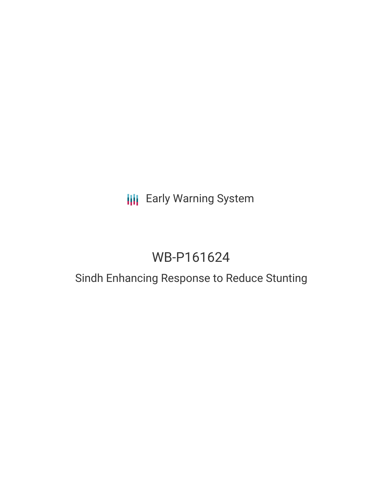# **III** Early Warning System

# WB-P161624

### Sindh Enhancing Response to Reduce Stunting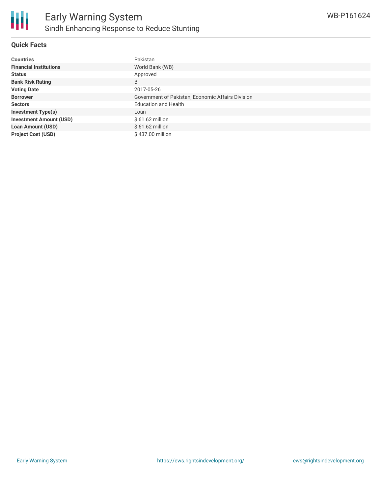#### **Quick Facts**

| <b>Countries</b>               | Pakistan                                          |
|--------------------------------|---------------------------------------------------|
| <b>Financial Institutions</b>  | World Bank (WB)                                   |
| <b>Status</b>                  | Approved                                          |
| <b>Bank Risk Rating</b>        | B                                                 |
| <b>Voting Date</b>             | 2017-05-26                                        |
| <b>Borrower</b>                | Government of Pakistan, Economic Affairs Division |
| <b>Sectors</b>                 | <b>Education and Health</b>                       |
| <b>Investment Type(s)</b>      | Loan                                              |
| <b>Investment Amount (USD)</b> | $$61.62$ million                                  |
| <b>Loan Amount (USD)</b>       | $$61.62$ million                                  |
| <b>Project Cost (USD)</b>      | \$437.00 million                                  |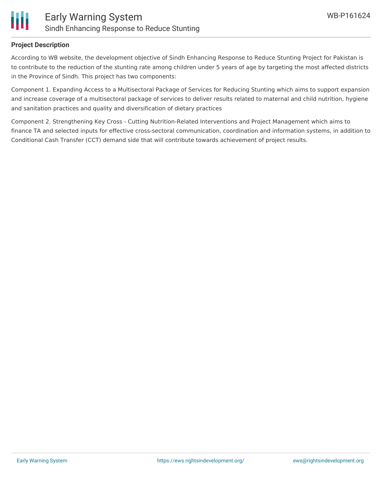

#### **Project Description**

According to WB website, the development objective of Sindh Enhancing Response to Reduce Stunting Project for Pakistan is to contribute to the reduction of the stunting rate among children under 5 years of age by targeting the most affected districts in the Province of Sindh. This project has two components:

Component 1. Expanding Access to a Multisectoral Package of Services for Reducing Stunting which aims to support expansion and increase coverage of a multisectoral package of services to deliver results related to maternal and child nutrition, hygiene and sanitation practices and quality and diversification of dietary practices

Component 2. Strengthening Key Cross - Cutting Nutrition-Related Interventions and Project Management which aims to finance TA and selected inputs for effective cross-sectoral communication, coordination and information systems, in addition to Conditional Cash Transfer (CCT) demand side that will contribute towards achievement of project results.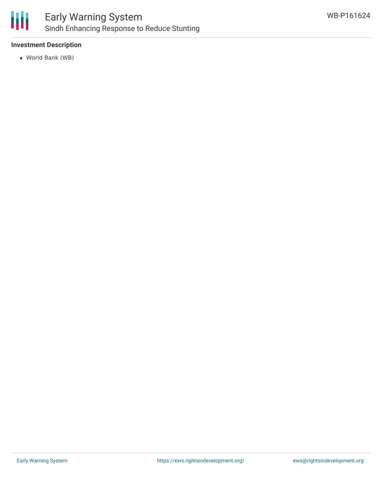

#### **Investment Description**

World Bank (WB)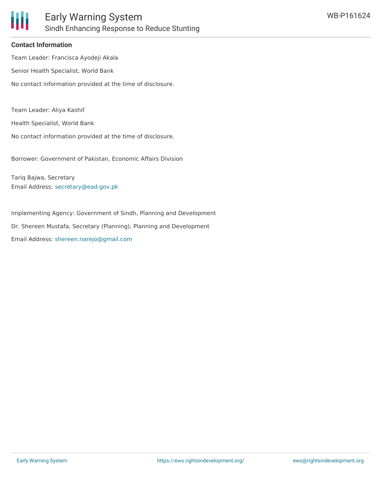

#### **Contact Information**

Team Leader: Francisca Ayodeji Akala Senior Health Specialist, World Bank No contact information provided at the time of disclosure.

Team Leader: Aliya Kashif

Health Specialist, World Bank

No contact information provided at the time of disclosure.

Borrower: Government of Pakistan, Economic Affairs Division

Tariq Bajwa, Secretary Email Address: [secretary@ead.gov.pk](mailto:secretary@ead.gov.pk)

Implementing Agency: Government of Sindh, Planning and Development Dr. Shereen Mustafa, Secretary (Planning), Planning and Development Email Address: [shereen.narejo@gmail.com](mailto:shereen.narejo@gmail.com)